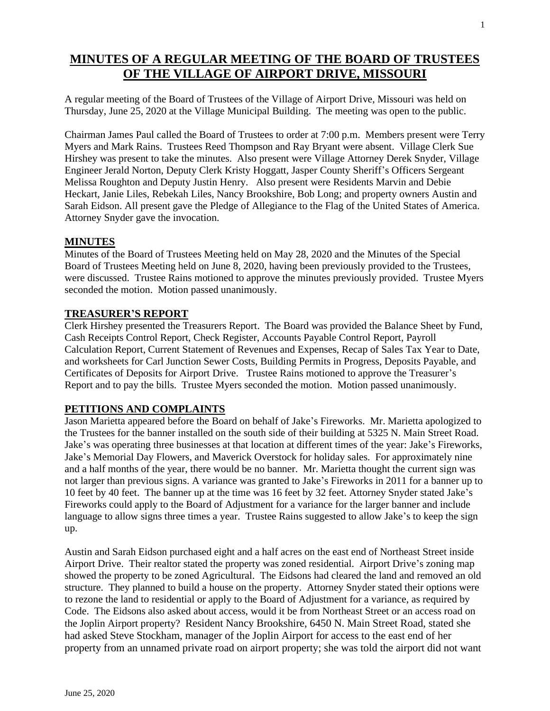# **MINUTES OF A REGULAR MEETING OF THE BOARD OF TRUSTEES OF THE VILLAGE OF AIRPORT DRIVE, MISSOURI**

A regular meeting of the Board of Trustees of the Village of Airport Drive, Missouri was held on Thursday, June 25, 2020 at the Village Municipal Building. The meeting was open to the public.

Chairman James Paul called the Board of Trustees to order at 7:00 p.m. Members present were Terry Myers and Mark Rains. Trustees Reed Thompson and Ray Bryant were absent. Village Clerk Sue Hirshey was present to take the minutes. Also present were Village Attorney Derek Snyder, Village Engineer Jerald Norton, Deputy Clerk Kristy Hoggatt, Jasper County Sheriff's Officers Sergeant Melissa Roughton and Deputy Justin Henry. Also present were Residents Marvin and Debie Heckart, Janie Liles, Rebekah Liles, Nancy Brookshire, Bob Long; and property owners Austin and Sarah Eidson. All present gave the Pledge of Allegiance to the Flag of the United States of America. Attorney Snyder gave the invocation.

## **MINUTES**

Minutes of the Board of Trustees Meeting held on May 28, 2020 and the Minutes of the Special Board of Trustees Meeting held on June 8, 2020, having been previously provided to the Trustees, were discussed. Trustee Rains motioned to approve the minutes previously provided. Trustee Myers seconded the motion. Motion passed unanimously.

#### **TREASURER'S REPORT**

Clerk Hirshey presented the Treasurers Report. The Board was provided the Balance Sheet by Fund, Cash Receipts Control Report, Check Register, Accounts Payable Control Report, Payroll Calculation Report, Current Statement of Revenues and Expenses, Recap of Sales Tax Year to Date, and worksheets for Carl Junction Sewer Costs, Building Permits in Progress, Deposits Payable, and Certificates of Deposits for Airport Drive. Trustee Rains motioned to approve the Treasurer's Report and to pay the bills. Trustee Myers seconded the motion. Motion passed unanimously.

## **PETITIONS AND COMPLAINTS**

Jason Marietta appeared before the Board on behalf of Jake's Fireworks. Mr. Marietta apologized to the Trustees for the banner installed on the south side of their building at 5325 N. Main Street Road. Jake's was operating three businesses at that location at different times of the year: Jake's Fireworks, Jake's Memorial Day Flowers, and Maverick Overstock for holiday sales. For approximately nine and a half months of the year, there would be no banner. Mr. Marietta thought the current sign was not larger than previous signs. A variance was granted to Jake's Fireworks in 2011 for a banner up to 10 feet by 40 feet. The banner up at the time was 16 feet by 32 feet. Attorney Snyder stated Jake's Fireworks could apply to the Board of Adjustment for a variance for the larger banner and include language to allow signs three times a year. Trustee Rains suggested to allow Jake's to keep the sign up.

Austin and Sarah Eidson purchased eight and a half acres on the east end of Northeast Street inside Airport Drive. Their realtor stated the property was zoned residential. Airport Drive's zoning map showed the property to be zoned Agricultural. The Eidsons had cleared the land and removed an old structure. They planned to build a house on the property. Attorney Snyder stated their options were to rezone the land to residential or apply to the Board of Adjustment for a variance, as required by Code. The Eidsons also asked about access, would it be from Northeast Street or an access road on the Joplin Airport property? Resident Nancy Brookshire, 6450 N. Main Street Road, stated she had asked Steve Stockham, manager of the Joplin Airport for access to the east end of her property from an unnamed private road on airport property; she was told the airport did not want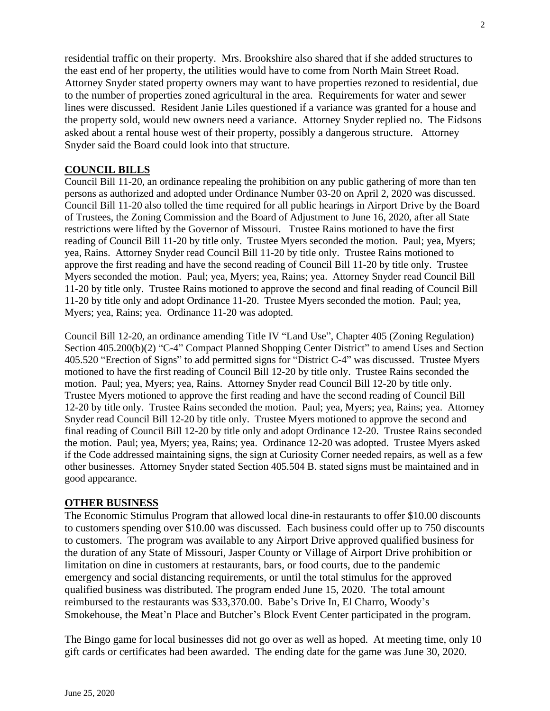residential traffic on their property. Mrs. Brookshire also shared that if she added structures to the east end of her property, the utilities would have to come from North Main Street Road. Attorney Snyder stated property owners may want to have properties rezoned to residential, due to the number of properties zoned agricultural in the area. Requirements for water and sewer lines were discussed. Resident Janie Liles questioned if a variance was granted for a house and the property sold, would new owners need a variance. Attorney Snyder replied no. The Eidsons asked about a rental house west of their property, possibly a dangerous structure. Attorney Snyder said the Board could look into that structure.

## **COUNCIL BILLS**

Council Bill 11-20, an ordinance repealing the prohibition on any public gathering of more than ten persons as authorized and adopted under Ordinance Number 03-20 on April 2, 2020 was discussed. Council Bill 11-20 also tolled the time required for all public hearings in Airport Drive by the Board of Trustees, the Zoning Commission and the Board of Adjustment to June 16, 2020, after all State restrictions were lifted by the Governor of Missouri. Trustee Rains motioned to have the first reading of Council Bill 11-20 by title only. Trustee Myers seconded the motion. Paul; yea, Myers; yea, Rains. Attorney Snyder read Council Bill 11-20 by title only. Trustee Rains motioned to approve the first reading and have the second reading of Council Bill 11-20 by title only. Trustee Myers seconded the motion. Paul; yea, Myers; yea, Rains; yea. Attorney Snyder read Council Bill 11-20 by title only. Trustee Rains motioned to approve the second and final reading of Council Bill 11-20 by title only and adopt Ordinance 11-20. Trustee Myers seconded the motion. Paul; yea, Myers; yea, Rains; yea. Ordinance 11-20 was adopted.

Council Bill 12-20, an ordinance amending Title IV "Land Use", Chapter 405 (Zoning Regulation) Section 405.200(b)(2) "C-4" Compact Planned Shopping Center District" to amend Uses and Section 405.520 "Erection of Signs" to add permitted signs for "District C-4" was discussed. Trustee Myers motioned to have the first reading of Council Bill 12-20 by title only. Trustee Rains seconded the motion. Paul; yea, Myers; yea, Rains. Attorney Snyder read Council Bill 12-20 by title only. Trustee Myers motioned to approve the first reading and have the second reading of Council Bill 12-20 by title only. Trustee Rains seconded the motion. Paul; yea, Myers; yea, Rains; yea. Attorney Snyder read Council Bill 12-20 by title only. Trustee Myers motioned to approve the second and final reading of Council Bill 12-20 by title only and adopt Ordinance 12-20. Trustee Rains seconded the motion. Paul; yea, Myers; yea, Rains; yea. Ordinance 12-20 was adopted. Trustee Myers asked if the Code addressed maintaining signs, the sign at Curiosity Corner needed repairs, as well as a few other businesses. Attorney Snyder stated Section 405.504 B. stated signs must be maintained and in good appearance.

## **OTHER BUSINESS**

The Economic Stimulus Program that allowed local dine-in restaurants to offer \$10.00 discounts to customers spending over \$10.00 was discussed. Each business could offer up to 750 discounts to customers. The program was available to any Airport Drive approved qualified business for the duration of any State of Missouri, Jasper County or Village of Airport Drive prohibition or limitation on dine in customers at restaurants, bars, or food courts, due to the pandemic emergency and social distancing requirements, or until the total stimulus for the approved qualified business was distributed. The program ended June 15, 2020. The total amount reimbursed to the restaurants was \$33,370.00. Babe's Drive In, El Charro, Woody's Smokehouse, the Meat'n Place and Butcher's Block Event Center participated in the program.

The Bingo game for local businesses did not go over as well as hoped. At meeting time, only 10 gift cards or certificates had been awarded. The ending date for the game was June 30, 2020.